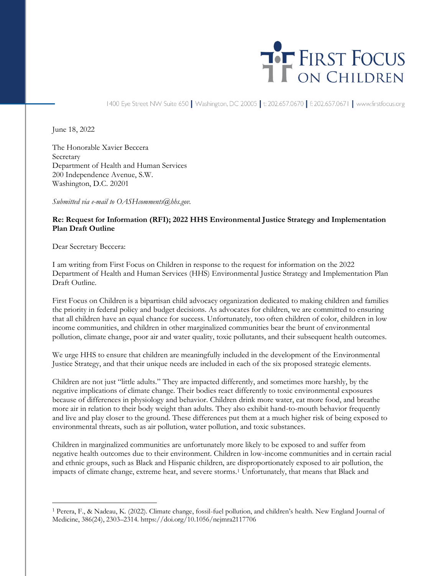

1400 Eye Street NW Suite 650 | Washington, DC 20005 | t: 202.657.0670 | f: 202.657.0671 | www.firstfocus.org

June 18, 2022

The Honorable Xavier Beccera Secretary Department of Health and Human Services 200 Independence Avenue, S.W. Washington, D.C. 20201

*Submitted via e-mail to OASHcomments@hhs.gov.*

## **Re: Request for Information (RFI); 2022 HHS Environmental Justice Strategy and Implementation Plan Draft Outline**

Dear Secretary Beccera:

I am writing from First Focus on Children in response to the request for information on the 2022 Department of Health and Human Services (HHS) Environmental Justice Strategy and Implementation Plan Draft Outline.

First Focus on Children is a bipartisan child advocacy organization dedicated to making children and families the priority in federal policy and budget decisions. As advocates for children, we are committed to ensuring that all children have an equal chance for success. Unfortunately, too often children of color, children in low income communities, and children in other marginalized communities bear the brunt of environmental pollution, climate change, poor air and water quality, toxic pollutants, and their subsequent health outcomes.

We urge HHS to ensure that children are meaningfully included in the development of the Environmental Justice Strategy, and that their unique needs are included in each of the six proposed strategic elements.

Children are not just "little adults." They are impacted differently, and sometimes more harshly, by the negative implications of climate change. Their bodies react differently to toxic environmental exposures because of differences in physiology and behavior. Children drink more water, eat more food, and breathe more air in relation to their body weight than adults. They also exhibit hand-to-mouth behavior frequently and live and play closer to the ground. These differences put them at a much higher risk of being exposed to environmental threats, such as air pollution, water pollution, and toxic substances.

Children in marginalized communities are unfortunately more likely to be exposed to and suffer from negative health outcomes due to their environment. Children in low-income communities and in certain racial and ethnic groups, such as Black and Hispanic children, are disproportionately exposed to air pollution, the impacts of climate change, extreme heat, and severe storms.<sup>1</sup> Unfortunately, that means that Black and

<sup>1</sup> Perera, F., & Nadeau, K. (2022). Climate change, fossil-fuel pollution, and children's health. New England Journal of Medicine, 386(24), 2303–2314. https://doi.org/10.1056/nejmra2117706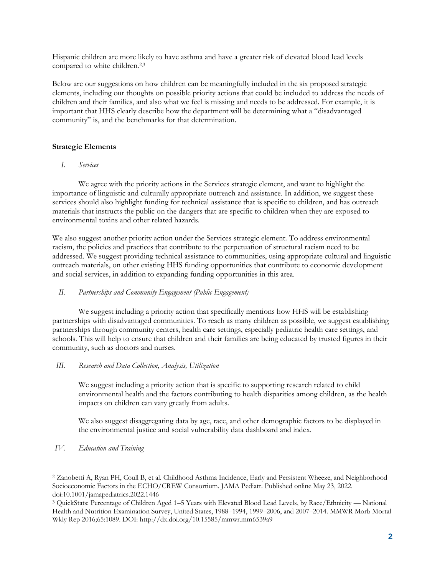Hispanic children are more likely to have asthma and have a greater risk of elevated blood lead levels compared to white children.<sup>2,3</sup>

Below are our suggestions on how children can be meaningfully included in the six proposed strategic elements, including our thoughts on possible priority actions that could be included to address the needs of children and their families, and also what we feel is missing and needs to be addressed. For example, it is important that HHS clearly describe how the department will be determining what a "disadvantaged community" is, and the benchmarks for that determination.

## **Strategic Elements**

*I. Services* 

We agree with the priority actions in the Services strategic element, and want to highlight the importance of linguistic and culturally appropriate outreach and assistance. In addition, we suggest these services should also highlight funding for technical assistance that is specific to children, and has outreach materials that instructs the public on the dangers that are specific to children when they are exposed to environmental toxins and other related hazards.

We also suggest another priority action under the Services strategic element. To address environmental racism, the policies and practices that contribute to the perpetuation of structural racism need to be addressed. We suggest providing technical assistance to communities, using appropriate cultural and linguistic outreach materials, on other existing HHS funding opportunities that contribute to economic development and social services, in addition to expanding funding opportunities in this area.

## *II. Partnerships and Community Engagement (Public Engagement)*

We suggest including a priority action that specifically mentions how HHS will be establishing partnerships with disadvantaged communities. To reach as many children as possible, we suggest establishing partnerships through community centers, health care settings, especially pediatric health care settings, and schools. This will help to ensure that children and their families are being educated by trusted figures in their community, such as doctors and nurses.

*III. Research and Data Collection, Analysis, Utilization*

We suggest including a priority action that is specific to supporting research related to child environmental health and the factors contributing to health disparities among children, as the health impacts on children can vary greatly from adults.

We also suggest disaggregating data by age, race, and other demographic factors to be displayed in the environmental justice and social vulnerability data dashboard and index.

*IV. Education and Training*

<sup>2</sup> Zanobetti A, Ryan PH, Coull B, et al. Childhood Asthma Incidence, Early and Persistent Wheeze, and Neighborhood Socioeconomic Factors in the ECHO/CREW Consortium. JAMA Pediatr. Published online May 23, 2022. doi:10.1001/jamapediatrics.2022.1446

<sup>3</sup> QuickStats: Percentage of Children Aged 1–5 Years with Elevated Blood Lead Levels, by Race/Ethnicity — National Health and Nutrition Examination Survey, United States, 1988–1994, 1999–2006, and 2007–2014. MMWR Morb Mortal Wkly Rep 2016;65:1089. DOI: http://dx.doi.org/10.15585/mmwr.mm6539a9